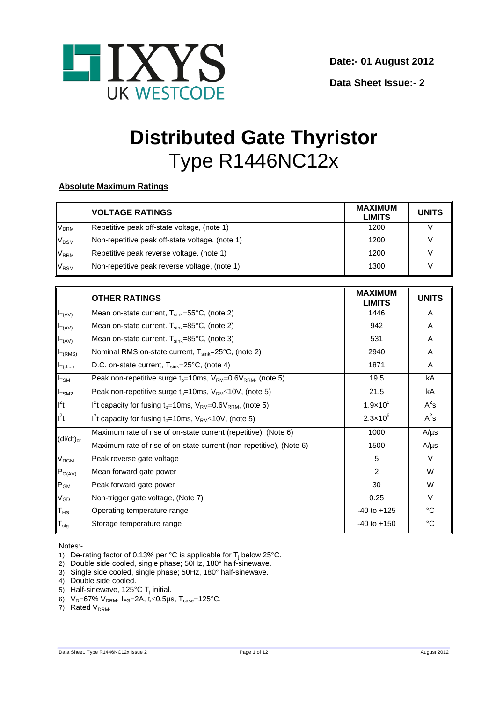

**Data Sheet Issue:- 2**

# **Distributed Gate Thyristor** Type R1446NC12x

# **Absolute Maximum Ratings**

|                        | <b>VOLTAGE RATINGS</b>                          | <b>MAXIMUM</b><br><b>LIMITS</b> | <b>UNITS</b> |
|------------------------|-------------------------------------------------|---------------------------------|--------------|
| <b>V<sub>DRM</sub></b> | Repetitive peak off-state voltage, (note 1)     | 1200                            |              |
| V <sub>DSM</sub>       | Non-repetitive peak off-state voltage, (note 1) | 1200                            |              |
| V <sub>RRM</sub>       | Repetitive peak reverse voltage, (note 1)       | 1200                            |              |
| V <sub>RSM</sub>       | Non-repetitive peak reverse voltage, (note 1)   | 1300                            |              |

|                            | <b>OTHER RATINGS</b>                                                        | <b>MAXIMUM</b><br><b>LIMITS</b> | <b>UNITS</b> |
|----------------------------|-----------------------------------------------------------------------------|---------------------------------|--------------|
| $I_{T(AV)}$                | Mean on-state current, $T_{sink} = 55^{\circ}C$ , (note 2)                  | 1446                            | A            |
| $I_{T(AV)}$                | Mean on-state current. $T_{sink} = 85^{\circ}C$ , (note 2)                  | 942                             | A            |
| $I_{T(AV)}$                | Mean on-state current. $T_{sink} = 85^{\circ}C$ , (note 3)                  | 531                             | Α            |
| $I_{T(RMS)}$               | Nominal RMS on-state current, T <sub>sink</sub> =25°C, (note 2)             | 2940                            | A            |
| $I_{T(d.c.)}$              | D.C. on-state current, $T_{\text{sink}}=25^{\circ}C$ , (note 4)             | 1871                            | A            |
| $I_{\text{TSM}}$           | Peak non-repetitive surge $t_{p}$ =10ms, $V_{RM}$ =0.6 $V_{RRM}$ , (note 5) | 19.5                            | kA           |
| I <sub>TSM2</sub>          | Peak non-repetitive surge $t_0$ =10ms, $V_{RM}$ ≤10V, (note 5)              | 21.5                            | kA           |
| $I^2t$                     | $I2t$ capacity for fusing t <sub>p</sub> =10ms, $VRM=0.6VRRM$ , (note 5)    | $1.9 \times 10^{6}$             | $A^2s$       |
| $I^2t$                     | $I2t$ capacity for fusing $t_p = 10$ ms, $V_{RM} \le 10V$ , (note 5)        | $2.3 \times 10^{6}$             | $A^2s$       |
|                            | Maximum rate of rise of on-state current (repetitive), (Note 6)             | 1000                            | $A/\mu s$    |
| $(di/dt)_{cr}$             | Maximum rate of rise of on-state current (non-repetitive), (Note 6)         | 1500                            | $A/\mu s$    |
| $V_{\text{RGM}}$           | Peak reverse gate voltage                                                   | 5                               | $\vee$       |
| $P_{G(AV)}$                | Mean forward gate power                                                     | 2                               | W            |
| $P_{GM}$                   | Peak forward gate power                                                     | 30                              | W            |
| $\mathsf{V}_{\mathsf{GD}}$ | Non-trigger gate voltage, (Note 7)                                          | 0.25                            | $\vee$       |
| $T_{HS}$                   | Operating temperature range                                                 | $-40$ to $+125$                 | °C           |
| $T_{\text{stg}}$           | Storage temperature range                                                   | $-40$ to $+150$                 | °C           |

Notes:-

- 1) De-rating factor of 0.13% per °C is applicable for  $T_i$  below 25°C.
- 2) Double side cooled, single phase; 50Hz, 180° half-sinewave.
- 3) Single side cooled, single phase; 50Hz, 180° half-sinewave.
- 4) Double side cooled.
- 5) Half-sinewave, 125°C T<sub>i</sub> initial.
- 6)  $V_D = 67\% \ V_{DRM}$ ,  $I_{FG} = 2A$ ,  $t_f \le 0.5 \mu s$ ,  $T_{case} = 125\degree C$ .
- 7) Rated  $V_{DRM}$ .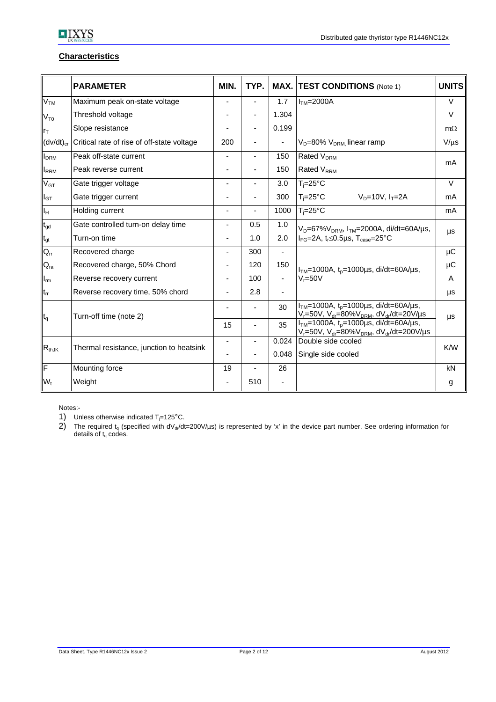

# **Characteristics**

|                            | <b>PARAMETER</b>                           | MIN.                     | TYP.           |       | <b>MAX. TEST CONDITIONS (Note 1)</b>                                                                                                           | <b>UNITS</b> |
|----------------------------|--------------------------------------------|--------------------------|----------------|-------|------------------------------------------------------------------------------------------------------------------------------------------------|--------------|
| V <sub>TM</sub>            | Maximum peak on-state voltage              |                          |                | 1.7   | $ITM=2000A$                                                                                                                                    | $\vee$       |
| $V_{T0}$                   | Threshold voltage                          |                          |                | 1.304 |                                                                                                                                                | $\vee$       |
| rт                         | Slope resistance                           |                          |                | 0.199 |                                                                                                                                                | $m\Omega$    |
| $(dv/dt)_{cr}$             | Critical rate of rise of off-state voltage | 200                      |                |       | $V_D = 80\% V_{DRM}$ linear ramp                                                                                                               | $V/\mu s$    |
| I <sub>DRM</sub>           | Peak off-state current                     |                          | $\blacksquare$ | 150   | Rated V <sub>DRM</sub>                                                                                                                         |              |
| <b>IRRM</b>                | Peak reverse current                       |                          |                | 150   | <b>Rated V<sub>RRM</sub></b>                                                                                                                   | mA           |
| $\mathsf{V}_{\mathsf{GT}}$ | Gate trigger voltage                       |                          |                | 3.0   | $T_i = 25$ °C                                                                                                                                  | $\vee$       |
| $I_{GT}$                   | Gate trigger current                       |                          |                | 300   | $T_i = 25^{\circ}C$<br>$V_D = 10V, I_T = 2A$                                                                                                   | mA           |
| Iн                         | Holding current                            | $\overline{\phantom{a}}$ |                | 1000  | $T_i = 25^{\circ}C$                                                                                                                            | mA           |
| $t_{\text{gd}}$            | Gate controlled turn-on delay time         |                          | 0.5            | 1.0   | $V_D = 67\%V_{DRM}$ , $I_{TM} = 2000A$ , di/dt=60A/µs,                                                                                         |              |
| $t_{gt}$                   | Turn-on time                               |                          | 1.0            | 2.0   | $I_{FG}$ =2A, t <sub>r</sub> ≤0.5µs, T <sub>case</sub> =25°C                                                                                   | μs           |
| $Q_{rr}$                   | Recovered charge                           |                          | 300            |       |                                                                                                                                                | μC           |
| $\mathsf{Q}_{\mathsf{ra}}$ | Recovered charge, 50% Chord                |                          | 120            | 150   | $ I_{TM}=1000A, t_0=1000\mu s, di/dt=60A/\mu s,$                                                                                               | μC           |
| $I_{rm}$                   | Reverse recovery current                   |                          | 100            | -     | $V = 50V$                                                                                                                                      | A            |
| $t_{rr}$                   | Reverse recovery time, 50% chord           |                          | 2.8            |       |                                                                                                                                                | μs           |
| $t_q$                      | Turn-off time (note 2)                     |                          |                | 30    | $ITM=1000A$ , $tp=1000\mu s$ , di/dt=60A/ $\mu s$ ,<br>V <sub>r</sub> =50V, V <sub>dr</sub> =80%V <sub>DRM</sub> , dV <sub>dr</sub> /dt=20V/µs | μs           |
|                            |                                            | 15                       |                | 35    | $ITM=1000A$ , $t0=1000\mu s$ , di/dt=60A/ $\mu s$ ,<br>$V_r = 50V$ , $V_{dr} = 80\%V_{DRM}$ , $dV_{dr}/dt = 200V/\mu s$                        |              |
| $R_{thJK}$                 | Thermal resistance, junction to heatsink   | $\blacksquare$           |                | 0.024 | Double side cooled                                                                                                                             | K/W          |
|                            |                                            |                          |                | 0.048 | Single side cooled                                                                                                                             |              |
| F                          | Mounting force                             | 19                       |                | 26    |                                                                                                                                                | kN           |
| $W_t$                      | Weight                                     |                          | 510            |       |                                                                                                                                                | g            |

Notes:-

1) Unless otherwise indicated  $T_j = 125^{\circ}$ C.<br>2) The required  $t_0$  (specified with  $dV_{\text{eq}}/dt$ 

2) The required  $t_q$  (specified with dV<sub>dr</sub>/dt=200V/µs) is represented by 'x' in the device part number. See ordering information for details of  $t_q$  codes.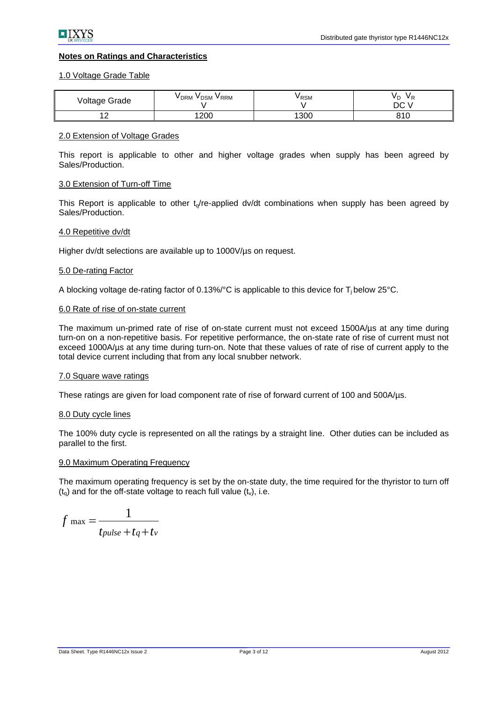# **Notes on Ratings and Characteristics**

#### 1.0 Voltage Grade Table

| Voltage Grade        | V <sub>DRM</sub><br>V <sub>DSM</sub><br><b>VRRM</b> | V RSM | V D<br>DC V |
|----------------------|-----------------------------------------------------|-------|-------------|
| $\sim$<br>. <u>.</u> | 1200                                                | 1300  | 810         |

#### 2.0 Extension of Voltage Grades

This report is applicable to other and higher voltage grades when supply has been agreed by Sales/Production.

#### 3.0 Extension of Turn-off Time

This Report is applicable to other  $t<sub>0</sub>/re-applied$  dv/dt combinations when supply has been agreed by Sales/Production.

# 4.0 Repetitive dv/dt

Higher dv/dt selections are available up to 1000V/us on request.

#### 5.0 De-rating Factor

A blocking voltage de-rating factor of  $0.13\%$  °C is applicable to this device for  $T_i$  below 25°C.

#### 6.0 Rate of rise of on-state current

The maximum un-primed rate of rise of on-state current must not exceed 1500A/µs at any time during turn-on on a non-repetitive basis. For repetitive performance, the on-state rate of rise of current must not exceed 1000A/µs at any time during turn-on. Note that these values of rate of rise of current apply to the total device current including that from any local snubber network.

#### 7.0 Square wave ratings

These ratings are given for load component rate of rise of forward current of 100 and 500A/µs.

#### 8.0 Duty cycle lines

The 100% duty cycle is represented on all the ratings by a straight line. Other duties can be included as parallel to the first.

#### 9.0 Maximum Operating Frequency

The maximum operating frequency is set by the on-state duty, the time required for the thyristor to turn off  $(t<sub>o</sub>)$  and for the off-state voltage to reach full value  $(t<sub>v</sub>)$ , i.e.

$$
f_{\text{max}} = \frac{1}{t_{pulse} + t_q + t_v}
$$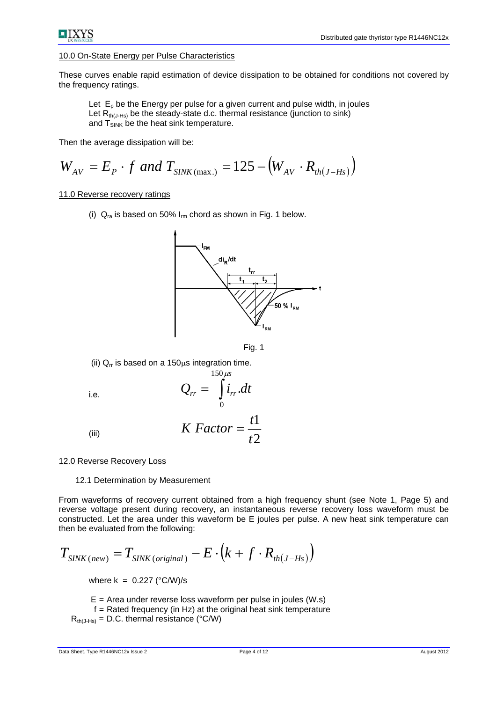

#### 10.0 On-State Energy per Pulse Characteristics

These curves enable rapid estimation of device dissipation to be obtained for conditions not covered by the frequency ratings.

Let  $E_p$  be the Energy per pulse for a given current and pulse width, in joules Let  $R_{th(J-Hs)}$  be the steady-state d.c. thermal resistance (junction to sink) and  $T_{SINK}$  be the heat sink temperature.

Then the average dissipation will be:

$$
W_{AV} = E_P \cdot f
$$
 and  $T_{SINK(max.)} = 125 - (W_{AV} \cdot R_{th(J-Hs)})$ 

#### 11.0 Reverse recovery ratings

(i)  $Q_{ra}$  is based on 50%  $I_{rm}$  chord as shown in Fig. 1 below.





(ii)  $Q<sub>rr</sub>$  is based on a 150 $\mu$ s integration time.

i.e.  $Q_{rr} = \int i_{rr} dt$  $150 \,\mu s$ 0 .

(iii) 
$$
K \; Factor = \frac{t1}{t2}
$$

#### 12.0 Reverse Recovery Loss

12.1 Determination by Measurement

From waveforms of recovery current obtained from a high frequency shunt (see Note 1, Page 5) and reverse voltage present during recovery, an instantaneous reverse recovery loss waveform must be constructed. Let the area under this waveform be E joules per pulse. A new heat sink temperature can then be evaluated from the following:

$$
T_{\text{SINK(new)}} = T_{\text{SINK(original)}} - E \cdot (k + f \cdot R_{\text{th}(J - Hs)})
$$

where  $k = 0.227$  ( $°C/W$ )/s

 $E =$  Area under reverse loss waveform per pulse in joules (W.s)

 $f =$  Rated frequency (in Hz) at the original heat sink temperature

 $R_{th(J-Hs)} = D.C.$  thermal resistance (°C/W)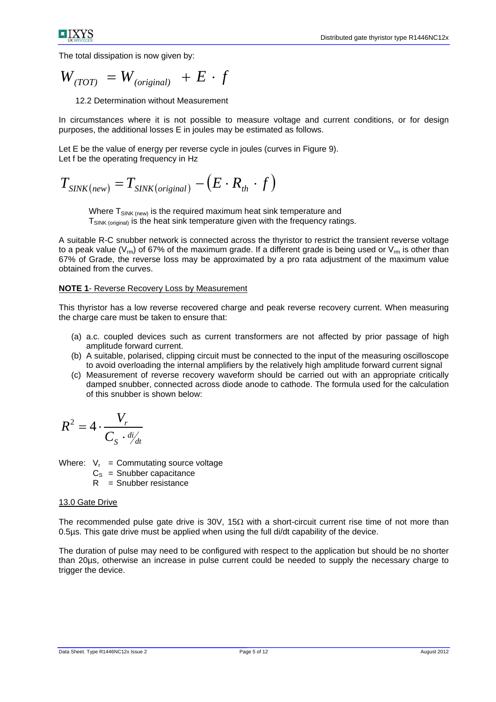The total dissipation is now given by:

$$
W_{(TOT)} = W_{(original)} + E \cdot f
$$

12.2 Determination without Measurement

In circumstances where it is not possible to measure voltage and current conditions, or for design purposes, the additional losses E in joules may be estimated as follows.

Let E be the value of energy per reverse cycle in joules (curves in Figure 9). Let f be the operating frequency in Hz

$$
T_{\text{SINK(new)}} = T_{\text{SINK(original)}} - (E \cdot R_{\text{th}} \cdot f)
$$

Where  $T_{\text{SINK (new)}}$  is the required maximum heat sink temperature and  $T_{SINK (original)}$  is the heat sink temperature given with the frequency ratings.

A suitable R-C snubber network is connected across the thyristor to restrict the transient reverse voltage to a peak value ( $V_{\text{m}}$ ) of 67% of the maximum grade. If a different grade is being used or  $V_{\text{m}}$  is other than 67% of Grade, the reverse loss may be approximated by a pro rata adjustment of the maximum value obtained from the curves.

#### **NOTE 1**- Reverse Recovery Loss by Measurement

This thyristor has a low reverse recovered charge and peak reverse recovery current. When measuring the charge care must be taken to ensure that:

- (a) a.c. coupled devices such as current transformers are not affected by prior passage of high amplitude forward current.
- (b) A suitable, polarised, clipping circuit must be connected to the input of the measuring oscilloscope to avoid overloading the internal amplifiers by the relatively high amplitude forward current signal
- (c) Measurement of reverse recovery waveform should be carried out with an appropriate critically damped snubber, connected across diode anode to cathode. The formula used for the calculation of this snubber is shown below:

$$
R^2 = 4 \cdot \frac{V_r}{C_S \cdot \frac{di}{dt}}
$$

Where:  $V_r =$  Commutating source voltage

- $C_s$  = Snubber capacitance
- $R =$  Snubber resistance

# 13.0 Gate Drive

The recommended pulse gate drive is 30V, 15 $\Omega$  with a short-circuit current rise time of not more than 0.5µs. This gate drive must be applied when using the full di/dt capability of the device.

The duration of pulse may need to be configured with respect to the application but should be no shorter than 20µs, otherwise an increase in pulse current could be needed to supply the necessary charge to trigger the device.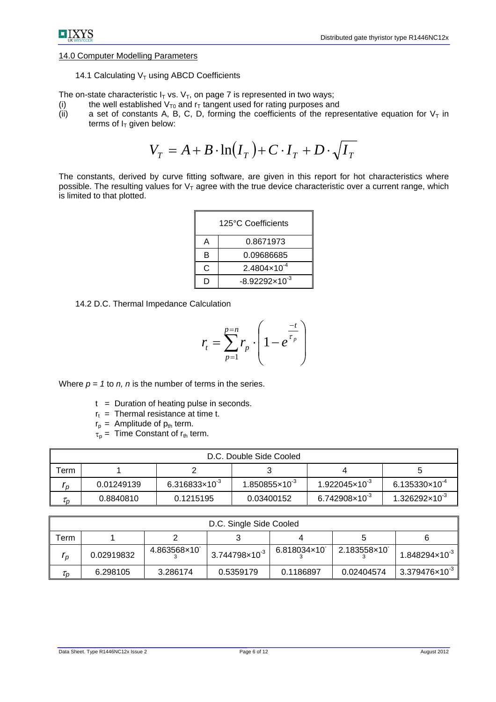# 14.0 Computer Modelling Parameters

## 14.1 Calculating  $V<sub>T</sub>$  using ABCD Coefficients

The on-state characteristic  $I_T$  vs.  $V_T$ , on page 7 is represented in two ways;

- (i) the well established  $V_{T0}$  and  $r<sub>T</sub>$  tangent used for rating purposes and
- (ii) a set of constants A, B, C, D, forming the coefficients of the representative equation for  $V<sub>T</sub>$  in terms of  $I_T$  given below:

$$
V_T = A + B \cdot \ln(I_T) + C \cdot I_T + D \cdot \sqrt{I_T}
$$

The constants, derived by curve fitting software, are given in this report for hot characteristics where possible. The resulting values for  $V<sub>T</sub>$  agree with the true device characteristic over a current range, which is limited to that plotted.

| 125°C Coefficients |                         |  |  |  |  |
|--------------------|-------------------------|--|--|--|--|
| 0.8671973<br>А     |                         |  |  |  |  |
| 0.09686685<br>в    |                         |  |  |  |  |
| C                  | $2.4804\times10^{-4}$   |  |  |  |  |
|                    | $-8.92292\times10^{-3}$ |  |  |  |  |

14.2 D.C. Thermal Impedance Calculation

$$
r_{t} = \sum_{p=1}^{p=n} r_{p} \cdot \left(1 - e^{\frac{-t}{\tau_{p}}}\right)
$$

Where  $p = 1$  to  $n$ ,  $n$  is the number of terms in the series.

- $t =$  Duration of heating pulse in seconds.
- $r_t$  = Thermal resistance at time t.
- $r_p =$  Amplitude of  $p_{th}$  term.
- $\tau_{p}$  = Time Constant of  $r_{th}$  term.

| D.C. Double Side Cooled       |            |                         |                         |                         |                         |  |  |  |
|-------------------------------|------------|-------------------------|-------------------------|-------------------------|-------------------------|--|--|--|
| $\tau$ erm                    |            |                         |                         |                         |                         |  |  |  |
| I n                           | 0.01249139 | $6.316833\times10^{-3}$ | $1.850855\times10^{-3}$ | $1.922045\times10^{-3}$ | $6.135330\times10^{-4}$ |  |  |  |
| $\tau_{\scriptscriptstyle D}$ | 0.8840810  | 0.1215195               | 0.03400152              | $6.742908\times10^{-3}$ | $1.326292\times10^{-3}$ |  |  |  |

| D.C. Single Side Cooled       |            |             |                           |             |             |                                     |  |
|-------------------------------|------------|-------------|---------------------------|-------------|-------------|-------------------------------------|--|
| erm                           |            |             |                           |             |             |                                     |  |
| I p                           | 0.02919832 | 4.863568×10 | $3.744798 \times 10^{-3}$ | 6.818034×10 | 2.183558×10 |                                     |  |
| $\tau_{\scriptscriptstyle D}$ | 6.298105   | 3.286174    | 0.5359179                 | 0.1186897   | 0.02404574  | $\frac{1}{3.379476 \times 10^{-3}}$ |  |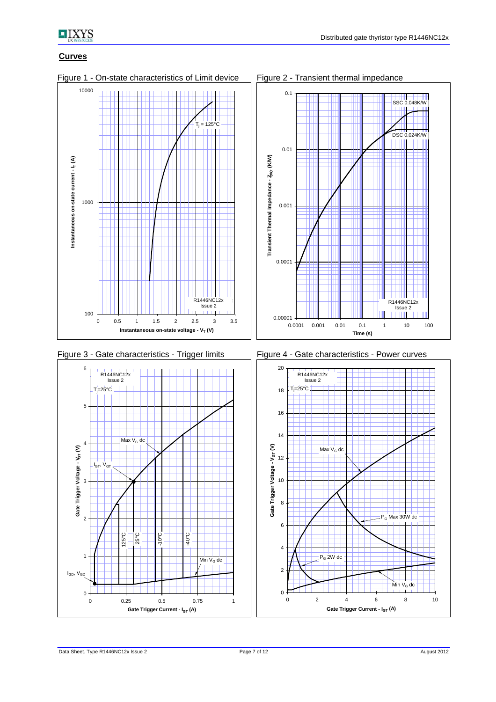

# **Curves**



Figure 1 - On-state characteristics of Limit device Figure 2 - Transient thermal impedance







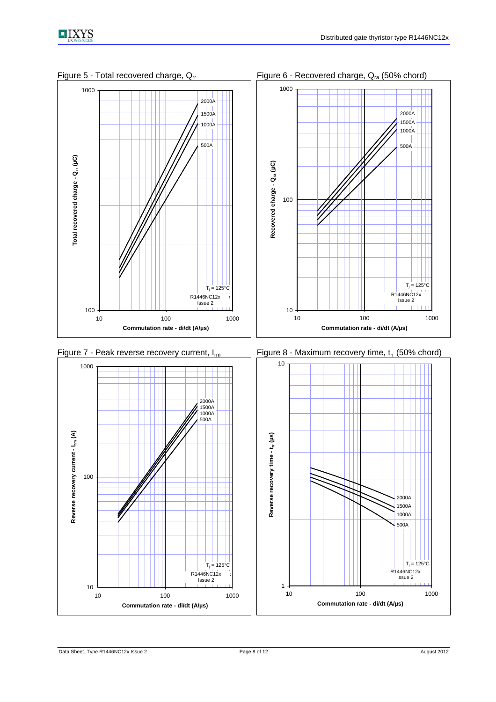



Figure 5 - Total recovered charge,  $Q_{rr}$  Figure 6 - Recovered charge,  $Q_{ra}$  (50% chord)





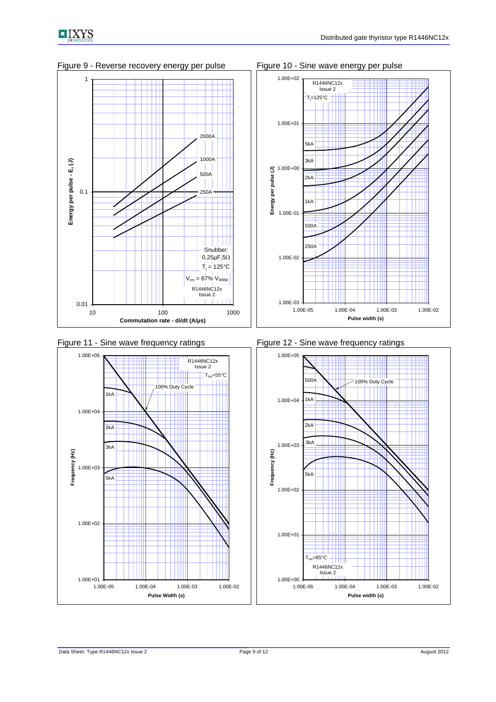

Figure 9 - Reverse recovery energy per pulse Figure 10 - Sine wave energy per pulse









Figure 11 - Sine wave frequency ratings Figure 12 - Sine wave frequency ratings

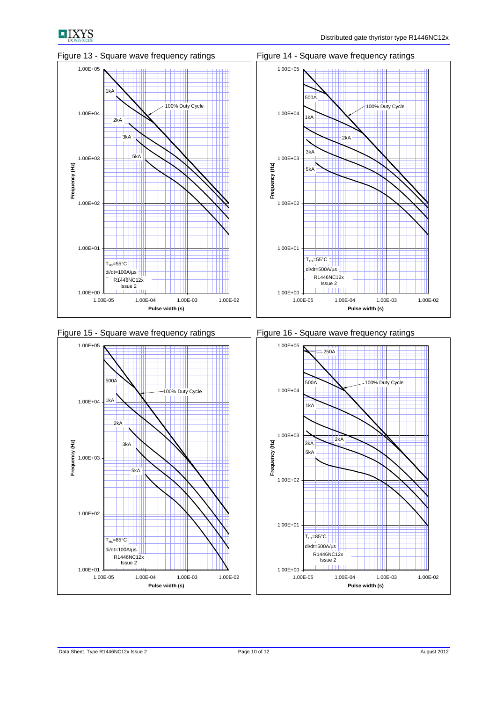











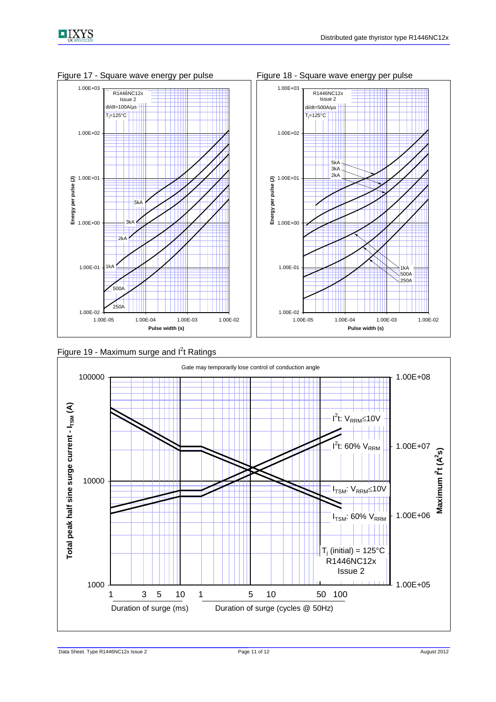

Figure 17 - Square wave energy per pulse Figure 18 - Square wave energy per pulse